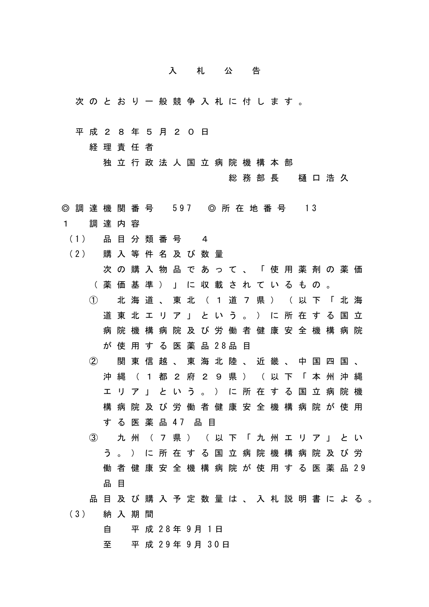## 入札公告

- 次のとおり一般競争入札に付します。
- 平成28年5月20日

経理責任者

独立行政法人国立病院機構本部

総務部長 樋口浩久

- ◎ 調 達 機 関 番 号 597 ◎ 所 在 地 番 号 13
- 1 調達内容
- (1) 品 目 分 類 番 号 4
- (2) 購 入 等 件 名 及 び 数 量

次の購入物品であって、「使用薬剤の薬価 (薬価基準)」に収載されているもの。

① 北海道、東北(1道7県)(以下「北海 道東北エリア」という。)に所在する国立 病院機構病院及び労働者健康安全機構病院 が 使 用 す る 医 薬 品 28品 目

② 関東信越、東海北陸、近畿、中国四国、 沖縄(1都2府29県)(以下「本州沖縄 エリア」という。)に所在する国立病院機 構病院及び労働者健康安全機構病院が使用 す る 医 薬 品 47 品 目

- ③ 九州(7県)(以下「九州エリア」とい う。)に所在する国立病院機構病院及び労 働 者 健 康 安 全 機 構 病 院 が 使 用 す る 医 薬 品 29 品 目
- 品目及び購入予定数量は、入札説明書による。

(3) 納 入 期 間

自 平 成 28年 9月 1日

至 平 成 29年 9月 30日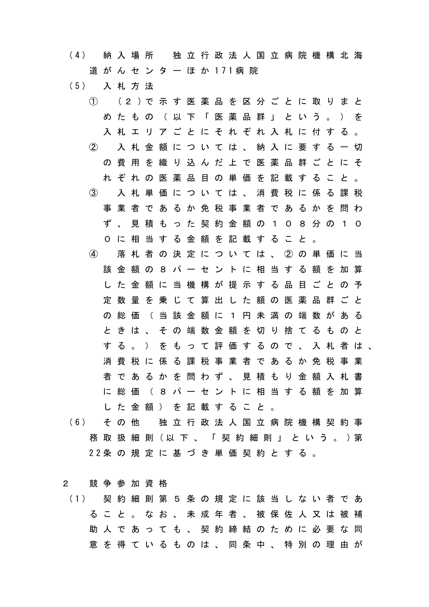- (4) 納 入 場 所 独 立 行 政 法 人 国 立 病 院 機 構 北 海 道 が ん セ ン タ ー ほ か 171病 院
- (5) 入 札 方 法
	- ① (2 )で 示 す 医 薬 品 を 区 分 ご と に 取 り ま と めたもの (以下「医薬品群」という。) を 入札エリアごとにそれぞれ入札に付する。 ② 入札金額については、納入に要する一切 の費用を織り込んだ上で医薬品群ごとにそ れぞれの医薬品目の単価を記載すること。 ③ 入札単価については、消費税に係る課税 事業者であるか免税事業者であるかを問わ ず、見積もった契約金額の108分の10 0に相当する金額を記載すること。 ④ 落札者の決定については、②の単価に当 該金額の8パーセントに相当する額を加算 した金額に当機構が提示する品目ごとの予 定数量を乗じて算出した額の医薬品群ごと の総価 (当該金額に1円未満の端数がある ときは、その端数金額を切り捨てるものと する。)をもって評価するので、入札者は、 消費税に係る課税事業者であるか免税事業 者であるかを問わず、見積もり金額入札書 に総価(8パーセントに相当する額を加算 した金額)を記載すること。
- (6) そ の 他 独 立 行 政 法 人 国 立 病 院 機 構 契 約 事 務 取 扱 細 則 (以 下 、 「 契 約 細 則 」 と い う 。 )第 22条 の 規 定 に 基 づ き 単 価 契 約 と す る 。

## 2 競争参加資格

(1) 契 約 細 則 第 5 条 の 規 定 に 該 当 し な い 者 で あ ること。なお、未成年者、被保佐人又は被補 助人であっても、契約締結のために必要な同 意 を 得 て い る も の は 、 同 条 中 、 特 別 の 理 由 が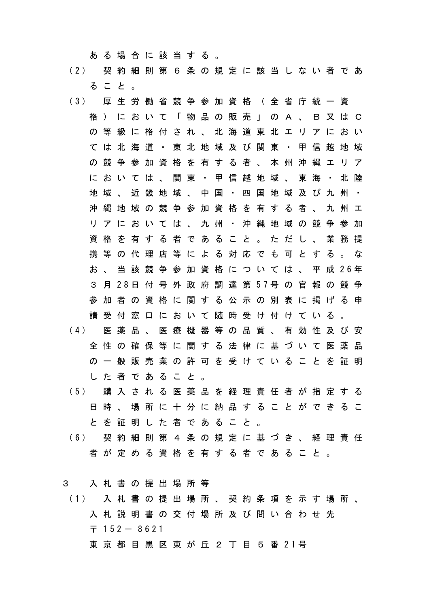ある場合に該当する。

- (2) 契 約 細 則 第 6 条 の 規 定 に 該 当 し な い 者 で あ ること。
- (3) 厚 生 労 働 省 競 争 参 加 資 格 ( 全 省 庁 統 一 資 格)において「物品の販売」のA、B又はC の等級に格付され、北海道東北エリアにおい ては北海道・東北地域及び関東・甲信越地域 の競争参加資格を有する者、本州沖縄エリア においては、関東・甲信越地域、東海・北陸 地域、近畿地域、中国・四国地域及び九州・ 沖縄地域の競争参加資格を有する者、九州エ リアにおいては、九州・沖縄地域の競争参加 資格を有する者であること。ただし、業務提 携 等 の 代 理 店 等 に よ る 対 応 で も 可 と す る 。 な お 、 当 該 競 争 参 加 資 格 に つ い て は 、 平 成 26年 3 月 28日 付 号 外 政 府 調 達 第 57号 の 官 報 の 競 争 参加者の資格に関する公示の別表に掲げる申 請受付窓口において随時受け付けている。 (4) 医 薬 品 、 医 療 機 器 等 の 品 質 、 有 効 性 及 び 安 全性の確保等に関する法律に基づいて医薬品 の一般販売業の許可を受けていることを証明 した者であること。
- (5) 購 入 さ れ る 医 薬 品 を 経 理 責 任 者 が 指 定 す る 日時、場所に十分に納品することができるこ とを証明した者であること。
- (6) 契 約 細 則 第 4 条 の 規 定 に 基 づ き 、 経 理 責 任 者が定める資格を有する者であること。

3 入札書の提出場所等

- (1) 入 札 書 の 提 出 場 所 、 契 約 条 項 を 示 す 場 所 、 入札説明書の交付場所及び問い合わせ先  $\overline{7}$  152 - 8621
	- 東 京 都 目 黒 区 東 が 丘 2 丁 目 5 番 21号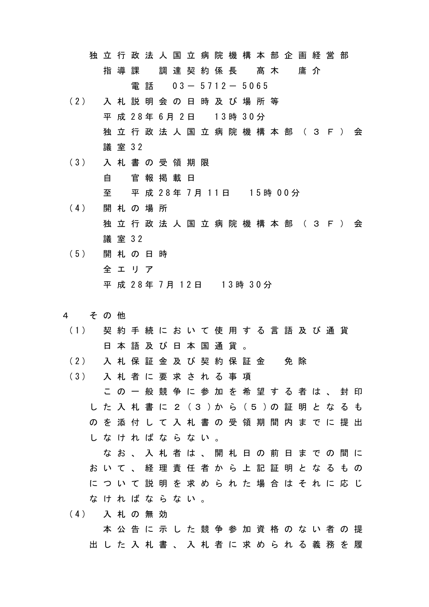独立行政法人国立病院機構本部企画経営部 指導課 調達契約係長 髙木 庸介 電話 03- 5712- 5065

- (2) 入 札 説 明 会 の 日 時 及 び 場 所 等 平 成 28年 6月 2日 13時 30分 独立行政法人国立病院機構本部(3F)会 議 室 32
- (3) 入 札 書 の 受 領 期 限 自 官報掲載日 至 平 成 28年 7月 11日 15時 00分
- (4) 開 札 の 場 所 独立行政法人国立病院機構本部(3F)会 議 室 32
- (5) 開 札 の 日 時 全エリア 平 成 28年 7月 12日 13時 30分
- 4 その他
- (1) 契 約 手 続 に お い て 使 用 す る 言 語 及 び 通 貨 日本語及び日本国通貨。
- (2) 入 札 保 証 金 及 び 契 約 保 証 金 免 除

(3) 入 札 者 に 要 求 さ れ る 事 項 この一般競争に参加を希望する者は、封印 し た 入 札 書 に 2 (3 )か ら (5 )の 証 明 と な る も のを添付して入札書の受領期間内までに提出 しなければならない。

なお、入札者は、開札日の前日までの間に おいて、経理責任者から上記証明となるもの について説明を求められた場合はそれに応じ なければならない。

(4) 入 札 の 無 効 本公告に示した競争参加資格のない者の提 出した入札書、入札者に求められる義務を履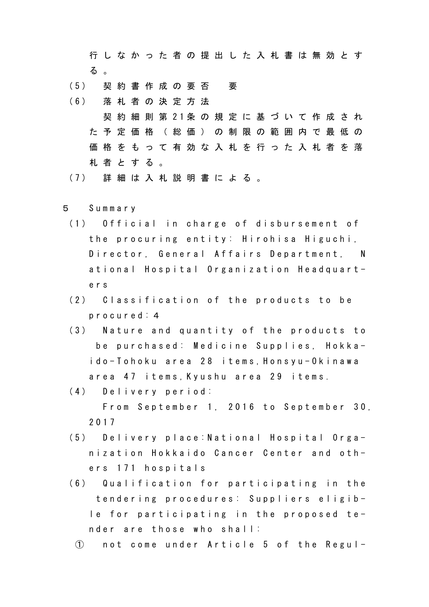行しなかった者の提出した入札書は無効とす る 。

- (5) 契 約 書 作 成 の 要 否 要
- (6) 落 札 者 の 決 定 方 法 契 約 細 則 第 21条 の 規 定 に 基 づ い て 作 成 さ れ た予定価格(総価)の制限の範囲内で最低の 価格をもって有効な入札を行った入札者を落 札者とする。
- (7) 詳 細 は 入 札 説 明 書 に よ る 。
- 5 Summary
	- (1) Official in charge of disbursement of the procuring entity: Hirohisa Higuchi, Director, General Affairs Department, N ational Hospital Organization Headquarters
	- (2) Classification of the products to be procured:4
	- (3) Nature and quantity of the products to be purchased: Medicine Supplies, Hokkaido-Tohoku area 28 items,Honsyu-Okinawa area 47 items,Kyushu area 29 items.
	- (4) Delivery period: From September 1, 2016 to September 30, 2017
	- (5) Delivery place:National Hospital Organization Hokkaido Cancer Center and others 171 hospitals
	- (6) Qualification for participating in the tendering procedures: Suppliers eligible for participating in the proposed tender are those who shall:
		- ① not come under Article 5 of the Regul-